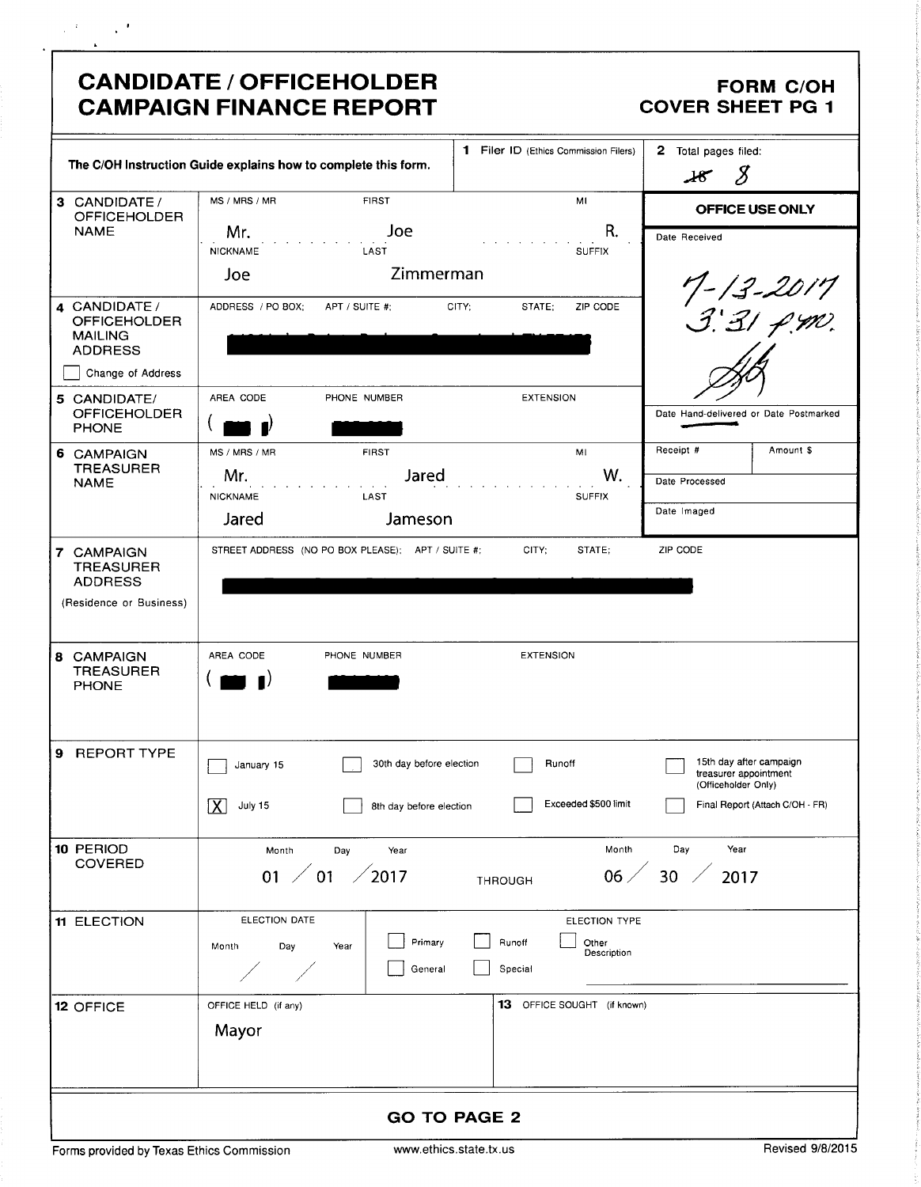### CANDIDATE / OFFICEHOLDER FORM C/OH<br>CAMPAIGN FINANCE REPORT COVER SHEET PG 1 **CAMPAIGN FINANCE REPORT**

 $\mathcal{L}^{(1,2)}$  and  $\mathcal{L}^{(2,1)}$ 

 $\mathbf{A}$ 

|                                                                          | The C/OH Instruction Guide explains how to complete this form. | 1 Filer ID (Ethics Commission Filers)           | 2 Total pages filed:<br>8<br>${\cal H}$                                 |
|--------------------------------------------------------------------------|----------------------------------------------------------------|-------------------------------------------------|-------------------------------------------------------------------------|
| 3 CANDIDATE /<br><b>OFFICEHOLDER</b>                                     | MS / MRS / MR<br><b>FIRST</b>                                  | MI                                              | OFFICE USE ONLY                                                         |
| <b>NAME</b>                                                              | Joe<br>Mr.<br><b>NICKNAME</b><br>LAST                          | R.<br><b>SUFFIX</b>                             | Date Received                                                           |
|                                                                          | Zimmerman<br>Joe                                               |                                                 |                                                                         |
| 4 CANDIDATE /<br><b>OFFICEHOLDER</b><br><b>MAILING</b><br><b>ADDRESS</b> | ADDRESS / PO BOX;<br>APT / SUITE #:                            | ZIP CODE<br>CITY;<br>STATE:                     |                                                                         |
| Change of Address                                                        |                                                                |                                                 |                                                                         |
| 5 CANDIDATE/<br><b>OFFICEHOLDER</b><br><b>PHONE</b>                      | AREA CODE<br>PHONE NUMBER                                      | <b>EXTENSION</b>                                | Date Hand-delivered or Date Postmarked                                  |
| 6 CAMPAIGN                                                               | MS / MRS / MR<br><b>FIRST</b>                                  | MI                                              | Receipt #<br>Amount \$                                                  |
| <b>TREASURER</b><br><b>NAME</b>                                          | Mr.<br>Jared                                                   | W.                                              | Date Processed                                                          |
|                                                                          | <b>NICKNAME</b><br>LAST<br>Jared<br>Jameson                    | <b>SUFFIX</b>                                   | Date Imaged                                                             |
| 7 CAMPAIGN<br><b>TREASURER</b><br><b>ADDRESS</b>                         | STREET ADDRESS (NO PO BOX PLEASE); APT / SUITE #;              | CITY;<br>STATE;                                 | ZIP CODE                                                                |
| (Residence or Business)                                                  |                                                                |                                                 |                                                                         |
| <b>8 CAMPAIGN</b><br><b>TREASURER</b><br><b>PHONE</b>                    | AREA CODE<br>PHONE NUMBER                                      | <b>EXTENSION</b>                                |                                                                         |
| 9 REPORT TYPE                                                            | 30th day before election<br>January 15                         | Runoff                                          | 15th day after campaign<br>treasurer appointment<br>(Officeholder Only) |
|                                                                          | $\boxed{\mathbf{X}}$ July 15<br>8th day before election        | Exceeded \$500 limit                            | Final Report (Attach C/OH - FR)                                         |
| 10 PERIOD                                                                | Month<br>Year<br>Day                                           | Month                                           | Day<br>Year                                                             |
| <b>COVERED</b>                                                           | 01 / 01 / 2017                                                 | $06\angle$<br>THROUGH                           | $30 \; / \; 2017$                                                       |
| 11 ELECTION                                                              | ELECTION DATE<br>Primary<br>Day<br>Year<br>Month               | ELECTION TYPE<br>Runoff<br>Other<br>Description |                                                                         |
|                                                                          | General                                                        | Special                                         |                                                                         |
| 12 OFFICE                                                                | OFFICE HELD (if any)<br>Mayor                                  | 13 OFFICE SOUGHT (if known)                     |                                                                         |
|                                                                          |                                                                |                                                 |                                                                         |
|                                                                          |                                                                | <b>GO TO PAGE 2</b>                             |                                                                         |
| Forms provided by Texas Ethics Commission                                |                                                                | www.ethics.state.tx.us                          | Revised 9/8/2015                                                        |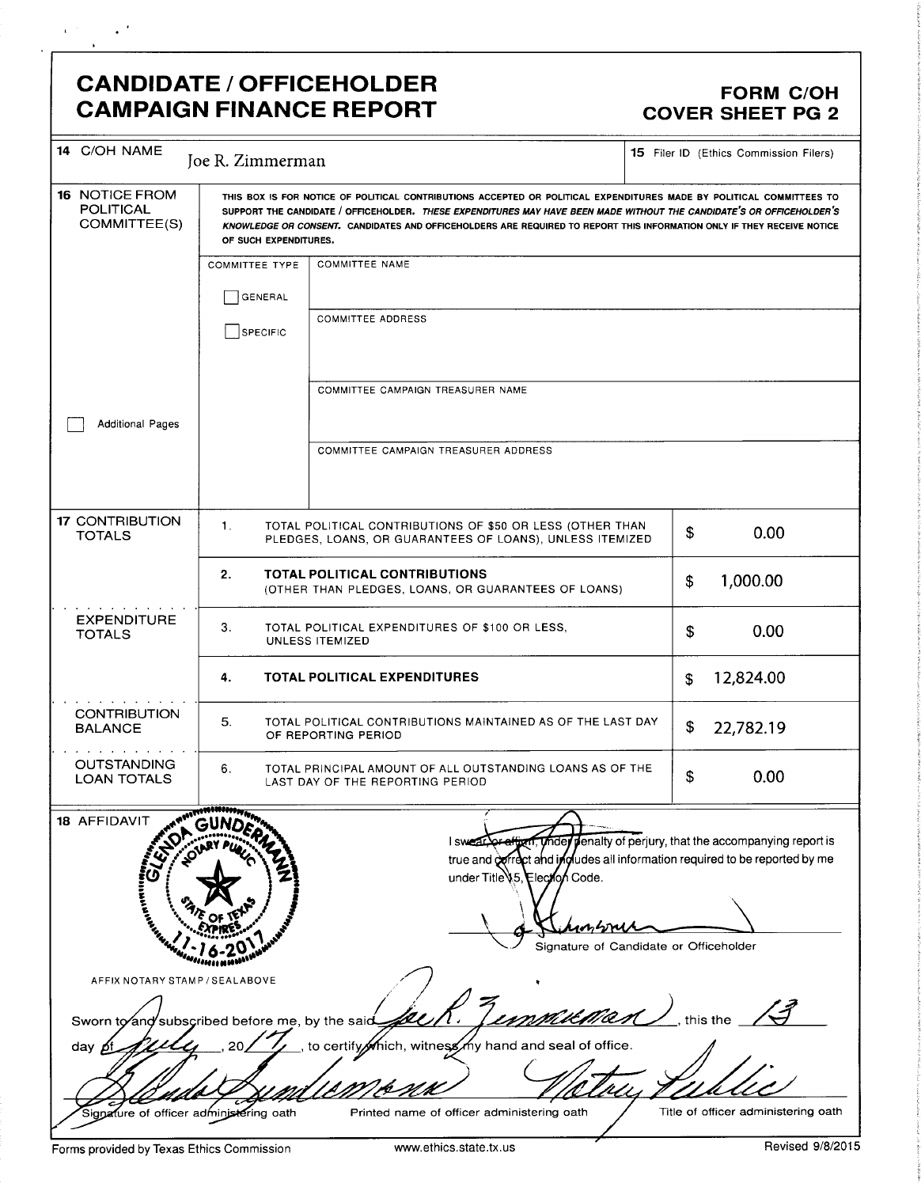### CANDIDATE / OFFICEHOLDER FORM C/OH **CAMPAIGN FINANCE REPORT**

 $\sim$ 

 $\chi^2/\chi^2$ 

| 14 C/OH NAME                                                                      | Joe R. Zimmerman                                                                                                    |                                                                                                                                                                                                                                                                                                                                                                         | <b>15</b> Filer ID (Ethics Commission Filers)                                                                                                                                               |  |  |
|-----------------------------------------------------------------------------------|---------------------------------------------------------------------------------------------------------------------|-------------------------------------------------------------------------------------------------------------------------------------------------------------------------------------------------------------------------------------------------------------------------------------------------------------------------------------------------------------------------|---------------------------------------------------------------------------------------------------------------------------------------------------------------------------------------------|--|--|
| <b>16 NOTICE FROM</b><br><b>POLITICAL</b><br>COMMITTEE(S)                         | OF SUCH EXPENDITURES.                                                                                               | THIS BOX IS FOR NOTICE OF POLITICAL CONTRIBUTIONS ACCEPTED OR POLITICAL EXPENDITURES MADE BY POLITICAL COMMITTEES TO<br>SUPPORT THE CANDIDATE / OFFICEHOLDER. THESE EXPENDITURES MAY HAVE BEEN MADE WITHOUT THE CANDIDATE'S OR OFFICEHOLDER'S<br>KNOWLEDGE OR CONSENT. CANDIDATES AND OFFICEHOLDERS ARE REQUIRED TO REPORT THIS INFORMATION ONLY IF THEY RECEIVE NOTICE |                                                                                                                                                                                             |  |  |
|                                                                                   | <b>COMMITTEE TYPE</b>                                                                                               | <b>COMMITTEE NAME</b>                                                                                                                                                                                                                                                                                                                                                   |                                                                                                                                                                                             |  |  |
|                                                                                   | <b>GENERAL</b>                                                                                                      |                                                                                                                                                                                                                                                                                                                                                                         |                                                                                                                                                                                             |  |  |
|                                                                                   | <b>SPECIFIC</b>                                                                                                     | COMMITTEE ADDRESS                                                                                                                                                                                                                                                                                                                                                       |                                                                                                                                                                                             |  |  |
|                                                                                   |                                                                                                                     | COMMITTEE CAMPAIGN TREASURER NAME                                                                                                                                                                                                                                                                                                                                       |                                                                                                                                                                                             |  |  |
| <b>Additional Pages</b>                                                           |                                                                                                                     |                                                                                                                                                                                                                                                                                                                                                                         |                                                                                                                                                                                             |  |  |
|                                                                                   |                                                                                                                     | COMMITTEE CAMPAIGN TREASURER ADDRESS                                                                                                                                                                                                                                                                                                                                    |                                                                                                                                                                                             |  |  |
| <b>17 CONTRIBUTION</b><br><b>TOTALS</b>                                           | $\mathbf{1}$ .                                                                                                      | TOTAL POLITICAL CONTRIBUTIONS OF \$50 OR LESS (OTHER THAN<br>PLEDGES, LOANS, OR GUARANTEES OF LOANS), UNLESS ITEMIZED                                                                                                                                                                                                                                                   | \$<br>0.00                                                                                                                                                                                  |  |  |
|                                                                                   | 2.<br><b>TOTAL POLITICAL CONTRIBUTIONS</b><br>1,000.00<br>\$<br>(OTHER THAN PLEDGES, LOANS, OR GUARANTEES OF LOANS) |                                                                                                                                                                                                                                                                                                                                                                         |                                                                                                                                                                                             |  |  |
| <b>EXPENDITURE</b><br><b>TOTALS</b>                                               | 3.                                                                                                                  | TOTAL POLITICAL EXPENDITURES OF \$100 OR LESS,<br>UNLESS ITEMIZED                                                                                                                                                                                                                                                                                                       | 0.00<br>\$                                                                                                                                                                                  |  |  |
|                                                                                   | <b>TOTAL POLITICAL EXPENDITURES</b><br>4.                                                                           | 12,824.00<br>\$                                                                                                                                                                                                                                                                                                                                                         |                                                                                                                                                                                             |  |  |
| <b>CONTRIBUTION</b><br><b>BALANCE</b>                                             | 5.<br>TOTAL POLITICAL CONTRIBUTIONS MAINTAINED AS OF THE LAST DAY<br>OF REPORTING PERIOD                            | \$<br>22,782.19                                                                                                                                                                                                                                                                                                                                                         |                                                                                                                                                                                             |  |  |
| <b>OUTSTANDING</b><br><b>LOAN TOTALS</b>                                          | 6.<br>TOTAL PRINCIPAL AMOUNT OF ALL OUTSTANDING LOANS AS OF THE<br>LAST DAY OF THE REPORTING PERIOD                 | \$<br>0.00                                                                                                                                                                                                                                                                                                                                                              |                                                                                                                                                                                             |  |  |
| <b>MARRAY</b><br>18 AFFIDAVIT<br><b>POV</b><br><b>CONFIDENTIAL CONFIDENCE</b>     | <b>PETRON</b>                                                                                                       | lswear∆o<br>under Title \5, Election Code.                                                                                                                                                                                                                                                                                                                              | effigal, under penalty of perjury, that the accompanying report is<br>true and correct and includes all information required to be reported by me<br>Signature of Candidate or Officeholder |  |  |
| AFFIX NOTARY STAMP / SEALABOVE<br>Sworn to and subscribed before me, by the said. |                                                                                                                     | mikMes                                                                                                                                                                                                                                                                                                                                                                  |                                                                                                                                                                                             |  |  |
| day                                                                               |                                                                                                                     | to certify which, witness my hand and seal of office.                                                                                                                                                                                                                                                                                                                   |                                                                                                                                                                                             |  |  |
| Signature of officer administering oath                                           |                                                                                                                     | Printed name of officer administering oath                                                                                                                                                                                                                                                                                                                              | Title of officer administering oath                                                                                                                                                         |  |  |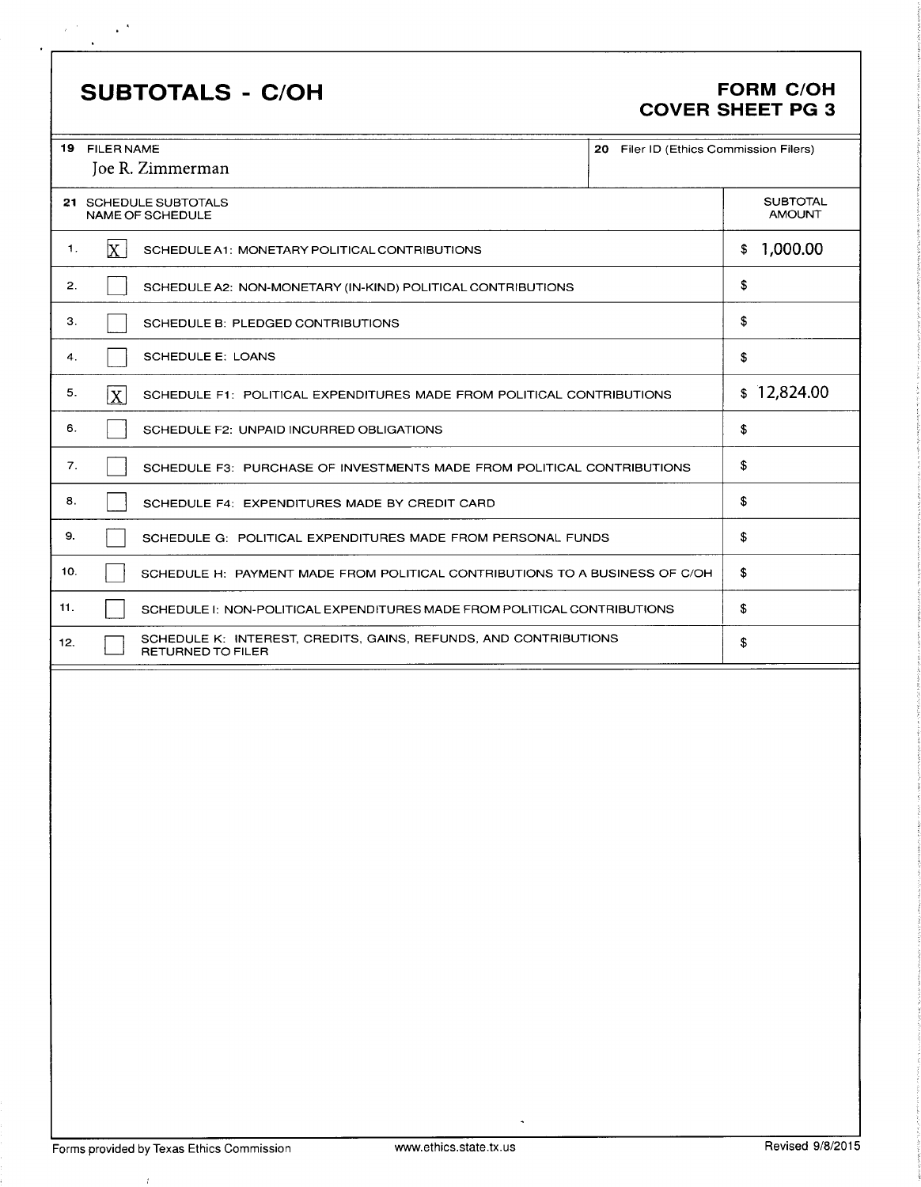## SUBTOTALS - C/OH FORM C/OH

 $\chi^2/\chi^2$ 

 $\sim 10^6$  $\sim$ 

# COVER SHEET PG 3

| 19 FILER NAME      | Joe R. Zimmerman                                                                      | 20 Filer ID (Ethics Commission Filers) |                                  |
|--------------------|---------------------------------------------------------------------------------------|----------------------------------------|----------------------------------|
|                    | 21 SCHEDULE SUBTOTALS<br>NAME OF SCHEDULE                                             |                                        | <b>SUBTOTAL</b><br><b>AMOUNT</b> |
| $\mathbf{X}$<br>1. | SCHEDULE A1: MONETARY POLITICAL CONTRIBUTIONS                                         |                                        | 1,000.00<br>\$                   |
| 2.                 | SCHEDULE A2: NON-MONETARY (IN-KIND) POLITICAL CONTRIBUTIONS                           |                                        | \$                               |
| З.                 | SCHEDULE B: PLEDGED CONTRIBUTIONS                                                     |                                        | \$                               |
| 4.                 | SCHEDULE E: LOANS                                                                     |                                        | \$                               |
| 5.<br>$ {\bf X} $  | SCHEDULE F1: POLITICAL EXPENDITURES MADE FROM POLITICAL CONTRIBUTIONS                 |                                        | \$12,824.00                      |
| 6.                 | SCHEDULE F2: UNPAID INCURRED OBLIGATIONS                                              |                                        | \$                               |
| 7.                 | SCHEDULE F3: PURCHASE OF INVESTMENTS MADE FROM POLITICAL CONTRIBUTIONS                |                                        | \$                               |
| 8.                 | SCHEDULE F4: EXPENDITURES MADE BY CREDIT CARD                                         |                                        | \$                               |
| 9.                 | SCHEDULE G: POLITICAL EXPENDITURES MADE FROM PERSONAL FUNDS                           |                                        | \$                               |
| 10.                | SCHEDULE H: PAYMENT MADE FROM POLITICAL CONTRIBUTIONS TO A BUSINESS OF C/OH           |                                        | \$                               |
| 11.                | SCHEDULE I: NON-POLITICAL EXPENDITURES MADE FROM POLITICAL CONTRIBUTIONS              |                                        | \$                               |
| 12.                | SCHEDULE K: INTEREST, CREDITS, GAINS, REFUNDS, AND CONTRIBUTIONS<br>RETURNED TO FILER |                                        | \$                               |
|                    |                                                                                       |                                        |                                  |

 $\bar{t}$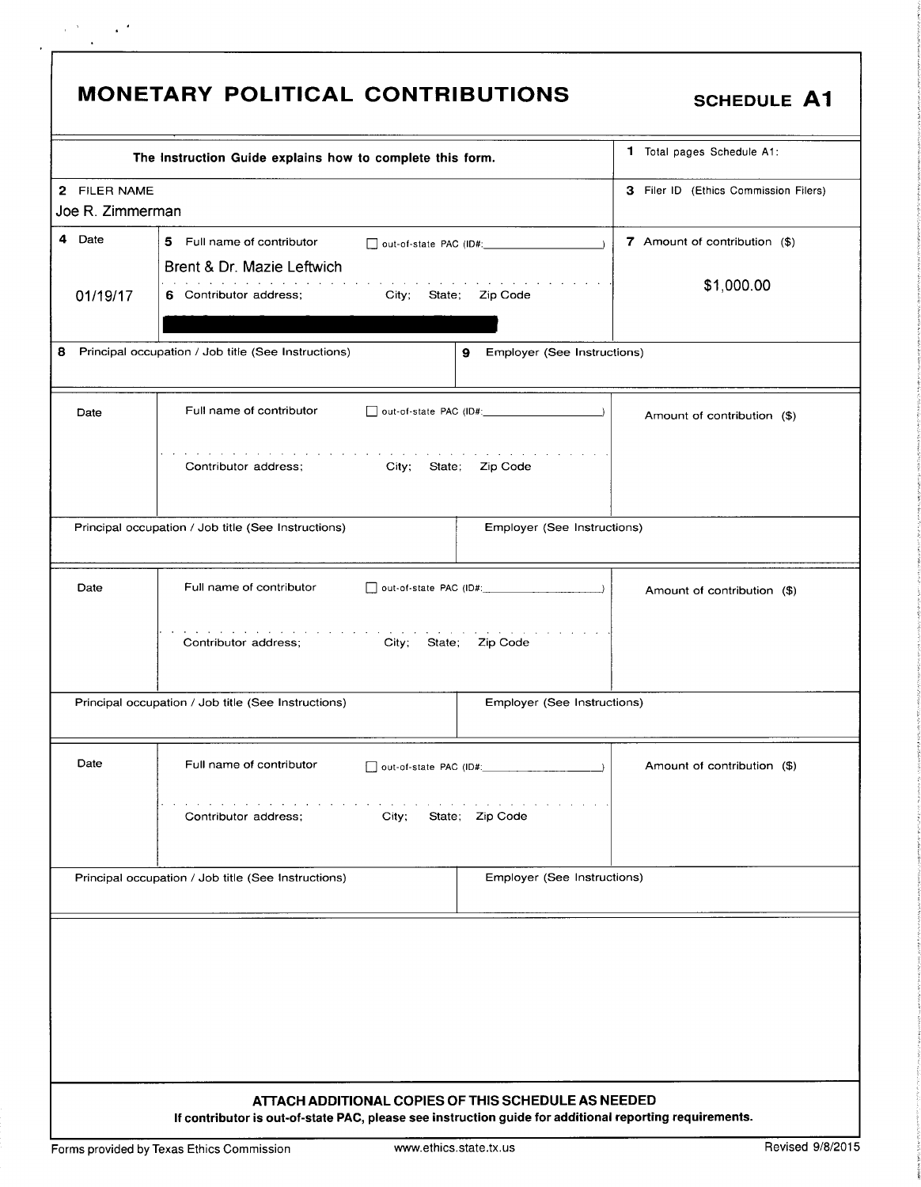|                                  | The Instruction Guide explains how to complete this form.                                                                                                        | 1 Total pages Schedule A1:                                   |
|----------------------------------|------------------------------------------------------------------------------------------------------------------------------------------------------------------|--------------------------------------------------------------|
| 2 FILER NAME<br>Joe R. Zimmerman |                                                                                                                                                                  | 3 Filer ID (Ethics Commission Filers)                        |
| 4 Date                           | 5 Full name of contributor                                                                                                                                       | 7 Amount of contribution (\$)                                |
| 01/19/17                         | Brent & Dr. Mazie Leftwich<br>the contract of the contract of the contract of the contract of the contract of<br>6 Contributor address;<br>City; State; Zip Code | \$1,000.00                                                   |
|                                  | Principal occupation / Job title (See Instructions)<br>9.                                                                                                        | <b>Employer (See Instructions)</b>                           |
| Date                             | Full name of contributor                                                                                                                                         | Amount of contribution (\$)                                  |
|                                  | والمتابع المالية والمتابع المتابع المتابع المتابع المتابع المتابع المتابع المتابع المتابع المتابع المتابع<br>Contributor address;<br>City; State; Zip Code       |                                                              |
|                                  | Principal occupation / Job title (See Instructions)                                                                                                              | Employer (See Instructions)                                  |
| Date                             | Full name of contributor                                                                                                                                         | $\Box$ out-of-state PAC (ID#:<br>Amount of contribution (\$) |
|                                  | and a series of the company of the series<br>Contributor address; City; State; Zip Code                                                                          |                                                              |
|                                  | Principal occupation / Job title (See Instructions)                                                                                                              | Employer (See Instructions)                                  |
| Date                             | Full name of contributor                                                                                                                                         | Amount of contribution (\$)                                  |
|                                  | المناور والمتناور والمناور والمناور والمتناور والمناور والمناور<br>Contributor address;<br>City;<br>State; Zip Code                                              | the contract of the contract of the                          |
|                                  | Principal occupation / Job title (See Instructions)                                                                                                              | Employer (See Instructions)                                  |
|                                  |                                                                                                                                                                  |                                                              |
|                                  |                                                                                                                                                                  |                                                              |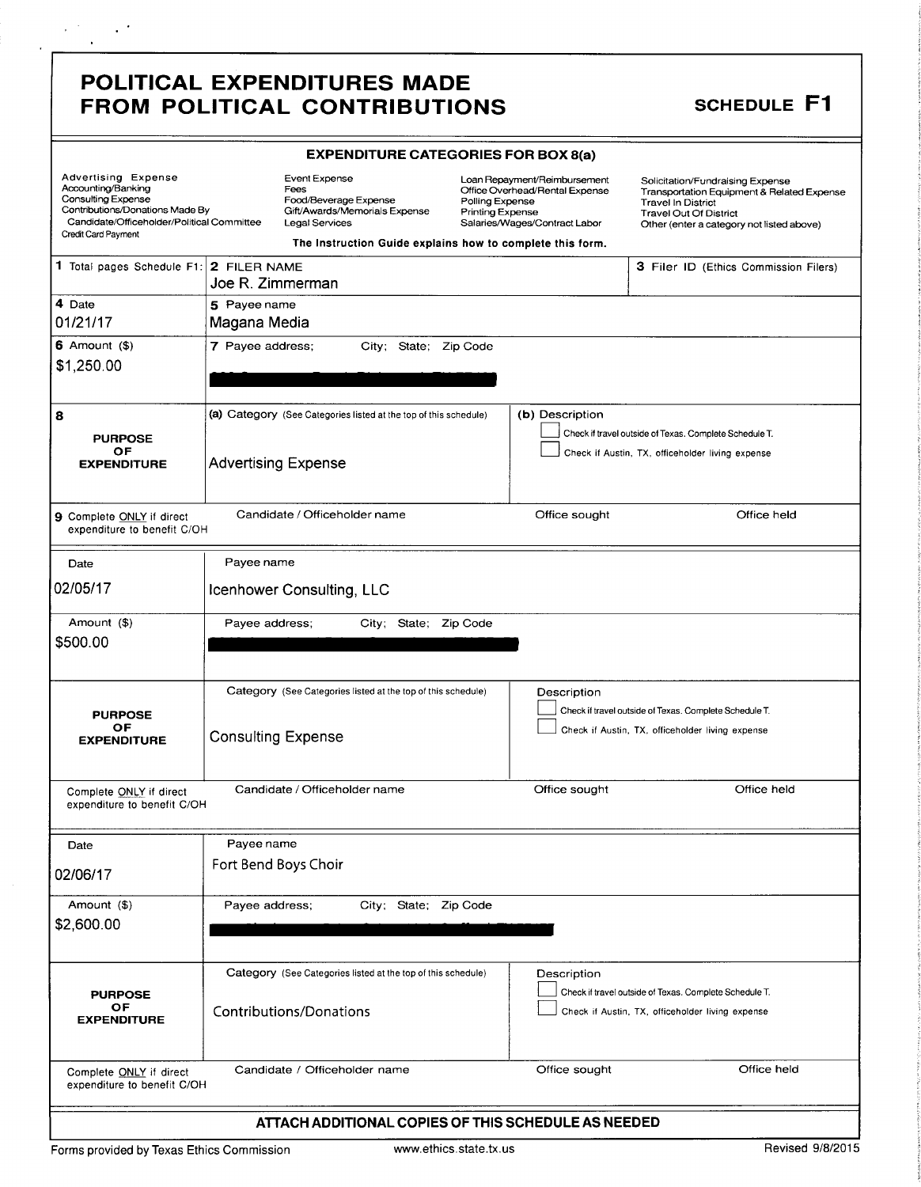$\chi^2/\chi^2$ 

 $\sim$   $^{\prime}$  $\mathbf{r}$ 

| <b>EXPENDITURE CATEGORIES FOR BOX 8(a)</b> |  |  |  |
|--------------------------------------------|--|--|--|
|--------------------------------------------|--|--|--|

| Advertising Expense<br>Accounting/Banking<br>Consulting Expense<br>Contributions/Donations Made By<br>Candidate/Officeholder/Political Committee<br>Credit Card Payment | Fees                               | Event Expense<br>Food/Beverage Expense<br>Gift/Awards/Memorials Expense<br>Legal Services<br>The Instruction Guide explains how to complete this form. | Polling Expense<br><b>Printing Expense</b> | Loan Repayment/Reimbursement<br>Office Overhead/Rental Expense<br>Salaries/Wages/Contract Labor | Solicitation/Fundraising Expense<br>Transportation Equipment & Related Expense<br><b>Travel In District</b><br><b>Travel Out Of District</b><br>Other (enter a category not listed above) |  |
|-------------------------------------------------------------------------------------------------------------------------------------------------------------------------|------------------------------------|--------------------------------------------------------------------------------------------------------------------------------------------------------|--------------------------------------------|-------------------------------------------------------------------------------------------------|-------------------------------------------------------------------------------------------------------------------------------------------------------------------------------------------|--|
| 1 Total pages Schedule F1: 2 FILER NAME                                                                                                                                 | Joe R. Zimmerman                   |                                                                                                                                                        |                                            |                                                                                                 | 3 Filer ID (Ethics Commission Filers)                                                                                                                                                     |  |
| 4 Date<br>01/21/17                                                                                                                                                      | 5 Payee name<br>Magana Media       |                                                                                                                                                        |                                            |                                                                                                 |                                                                                                                                                                                           |  |
| 6 Amount $($)$<br>\$1,250.00                                                                                                                                            | 7 Payee address;                   | City; State; Zip Code                                                                                                                                  |                                            |                                                                                                 |                                                                                                                                                                                           |  |
| 8<br><b>PURPOSE</b><br>ОF<br><b>EXPENDITURE</b>                                                                                                                         | <b>Advertising Expense</b>         | (a) Category (See Categories listed at the top of this schedule)                                                                                       |                                            | (b) Description                                                                                 | Check if travel outside of Texas. Complete Schedule T.<br>Check if Austin, TX, officeholder living expense                                                                                |  |
| 9 Complete ONLY if direct<br>expenditure to benefit C/OH                                                                                                                |                                    | Candidate / Officeholder name                                                                                                                          |                                            | Office sought                                                                                   | Office held                                                                                                                                                                               |  |
| Date                                                                                                                                                                    | Payee name                         |                                                                                                                                                        |                                            |                                                                                                 |                                                                                                                                                                                           |  |
| 02/05/17                                                                                                                                                                |                                    | Icenhower Consulting, LLC                                                                                                                              |                                            |                                                                                                 |                                                                                                                                                                                           |  |
| Amount (\$)<br>\$500.00                                                                                                                                                 | Payee address;                     | City; State; Zip Code                                                                                                                                  |                                            |                                                                                                 |                                                                                                                                                                                           |  |
| <b>PURPOSE</b><br><b>OF</b><br><b>EXPENDITURE</b>                                                                                                                       | <b>Consulting Expense</b>          | Category (See Categories listed at the top of this schedule)                                                                                           |                                            | Description                                                                                     | Check if travel outside of Texas. Complete Schedule T.<br>Check if Austin, TX, officeholder living expense                                                                                |  |
| Complete ONLY if direct<br>expenditure to benefit C/OH                                                                                                                  |                                    | Candidate / Officeholder name                                                                                                                          |                                            | Office sought                                                                                   | Office held                                                                                                                                                                               |  |
| Date<br>02/06/17                                                                                                                                                        | Payee name<br>Fort Bend Boys Choir |                                                                                                                                                        |                                            |                                                                                                 |                                                                                                                                                                                           |  |
| Amount (\$)<br>\$2,600.00                                                                                                                                               | Payee address;                     | City; State; Zip Code                                                                                                                                  |                                            |                                                                                                 |                                                                                                                                                                                           |  |
| <b>PURPOSE</b><br>OF<br><b>EXPENDITURE</b>                                                                                                                              | Contributions/Donations            | Category (See Categories listed at the top of this schedule)                                                                                           |                                            | Description                                                                                     | Check if travel outside of Texas. Complete Schedule T.<br>Check if Austin, TX, officeholder living expense                                                                                |  |
| Complete ONLY if direct<br>expenditure to benefit C/OH                                                                                                                  |                                    | Candidate / Officeholder name                                                                                                                          |                                            | Office sought                                                                                   | Office held                                                                                                                                                                               |  |
|                                                                                                                                                                         |                                    | ATTACH ADDITIONAL COPIES OF THIS SCHEDULE AS NEEDED                                                                                                    |                                            |                                                                                                 |                                                                                                                                                                                           |  |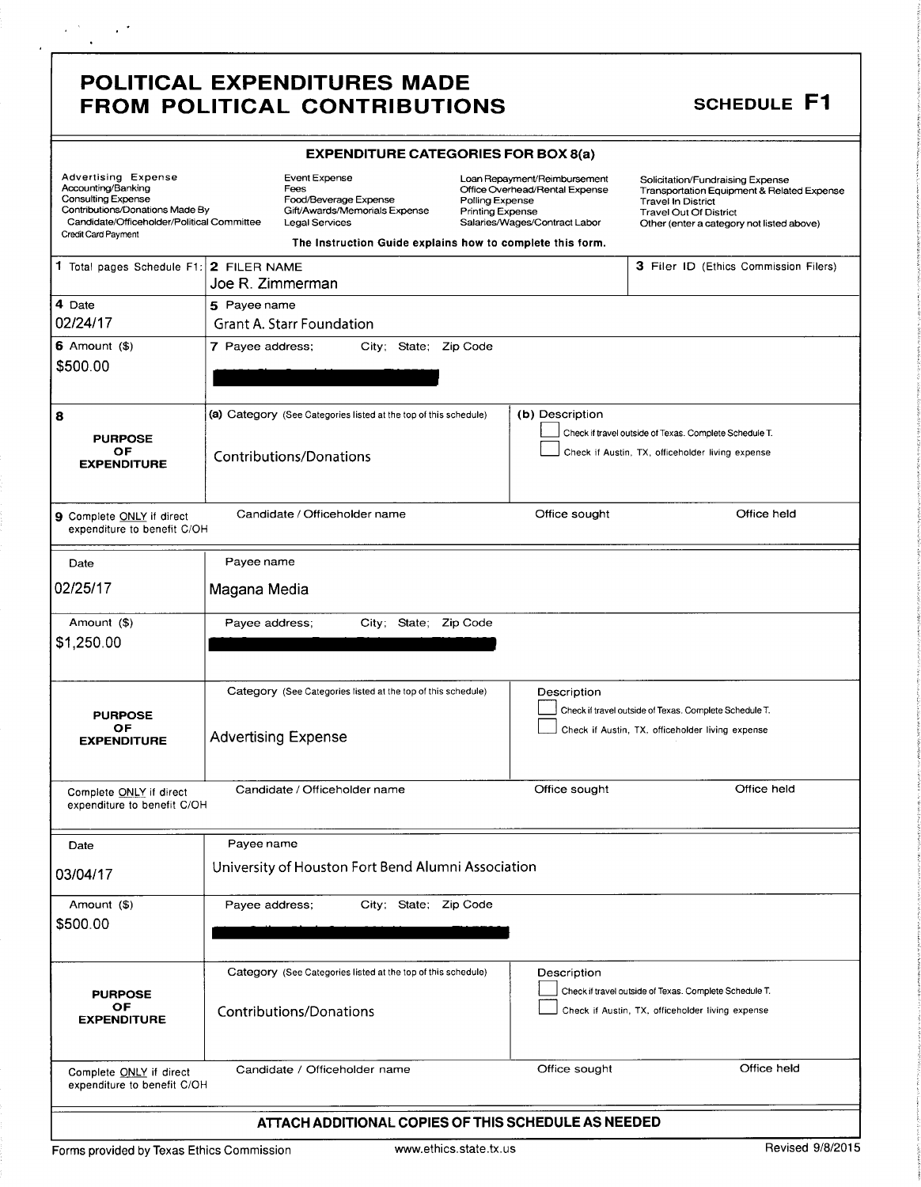$\sim$ 

 $\frac{1}{2}$  ,  $\frac{1}{2}$  $\ddot{\phantom{1}}$ 

| <b>EXPENDITURE CATEGORIES FOR BOX 8(a)</b> |  |  |  |
|--------------------------------------------|--|--|--|
|--------------------------------------------|--|--|--|

| Advertising Expense<br>Accounting/Banking<br><b>Consulting Expense</b><br>Contributions/Donations Made By<br>Candidate/Officeholder/Political Committee<br>Credit Card Payment |                  | Event Expense<br>Fees<br>Food/Beverage Expense<br>Gift/Awards/Memorials Expense<br>Legal Services<br>The Instruction Guide explains how to complete this form. |                       | Polling Expense<br><b>Printing Expense</b> | Loan Repayment/Reimbursement<br>Office Overhead/Rental Expense<br>Salaries/Wages/Contract Labor | Solicitation/Fundraising Expense<br>Transportation Equipment & Related Expense<br><b>Travel In District</b><br><b>Travel Out Of District</b><br>Other (enter a category not listed above) |             |
|--------------------------------------------------------------------------------------------------------------------------------------------------------------------------------|------------------|----------------------------------------------------------------------------------------------------------------------------------------------------------------|-----------------------|--------------------------------------------|-------------------------------------------------------------------------------------------------|-------------------------------------------------------------------------------------------------------------------------------------------------------------------------------------------|-------------|
| 1 Total pages Schedule F1: 2 FILER NAME                                                                                                                                        | Joe R. Zimmerman |                                                                                                                                                                |                       |                                            |                                                                                                 | 3 Filer ID (Ethics Commission Filers)                                                                                                                                                     |             |
| 4 Date<br>02/24/17                                                                                                                                                             | 5 Payee name     | <b>Grant A. Starr Foundation</b>                                                                                                                               |                       |                                            |                                                                                                 |                                                                                                                                                                                           |             |
| $6$ Amount $($)$<br>\$500.00                                                                                                                                                   | 7 Payee address; |                                                                                                                                                                | City; State; Zip Code |                                            |                                                                                                 |                                                                                                                                                                                           |             |
| 8<br><b>PURPOSE</b><br>ОF<br><b>EXPENDITURE</b>                                                                                                                                |                  | (a) Category (See Categories listed at the top of this schedule)<br>Contributions/Donations                                                                    |                       |                                            | (b) Description                                                                                 | Check if travel outside of Texas. Complete Schedule T.<br>Check if Austin, TX, officeholder living expense                                                                                |             |
| 9 Complete ONLY if direct<br>expenditure to benefit C/OH                                                                                                                       |                  | Candidate / Officeholder name                                                                                                                                  |                       |                                            | Office sought                                                                                   |                                                                                                                                                                                           | Office held |
| Date                                                                                                                                                                           | Payee name       |                                                                                                                                                                |                       |                                            |                                                                                                 |                                                                                                                                                                                           |             |
| 02/25/17                                                                                                                                                                       | Magana Media     |                                                                                                                                                                |                       |                                            |                                                                                                 |                                                                                                                                                                                           |             |
| Amount (\$)<br>\$1,250.00                                                                                                                                                      | Payee address;   |                                                                                                                                                                | City; State; Zip Code |                                            |                                                                                                 |                                                                                                                                                                                           |             |
| <b>PURPOSE</b><br>ОF<br><b>EXPENDITURE</b>                                                                                                                                     |                  | Category (See Categories listed at the top of this schedule)<br><b>Advertising Expense</b>                                                                     |                       |                                            | Description                                                                                     | Check if travel outside of Texas. Complete Schedule T.<br>Check if Austin, TX, officeholder living expense                                                                                |             |
| Complete ONLY if direct<br>expenditure to benefit C/OH                                                                                                                         |                  | Candidate / Officeholder name                                                                                                                                  |                       |                                            | Office sought                                                                                   |                                                                                                                                                                                           | Office held |
| Date<br>03/04/17                                                                                                                                                               | Payee name       | University of Houston Fort Bend Alumni Association                                                                                                             |                       |                                            |                                                                                                 |                                                                                                                                                                                           |             |
| Amount (\$)<br>\$500.00                                                                                                                                                        | Payee address:   |                                                                                                                                                                | City: State: Zip Code |                                            |                                                                                                 |                                                                                                                                                                                           |             |
| <b>PURPOSE</b><br>ОF<br><b>EXPENDITURE</b>                                                                                                                                     |                  | Category (See Categories listed at the top of this schedule)<br><b>Contributions/Donations</b>                                                                 |                       |                                            | Description                                                                                     | Check if travel outside of Texas. Complete Schedule T.<br>Check if Austin, TX, officeholder living expense                                                                                |             |
| Complete ONLY if direct<br>expenditure to benefit C/OH                                                                                                                         |                  | Candidate / Officeholder name                                                                                                                                  |                       |                                            | Office sought                                                                                   |                                                                                                                                                                                           | Office held |
|                                                                                                                                                                                |                  | ATTACH ADDITIONAL COPIES OF THIS SCHEDULE AS NEEDED                                                                                                            |                       |                                            |                                                                                                 |                                                                                                                                                                                           |             |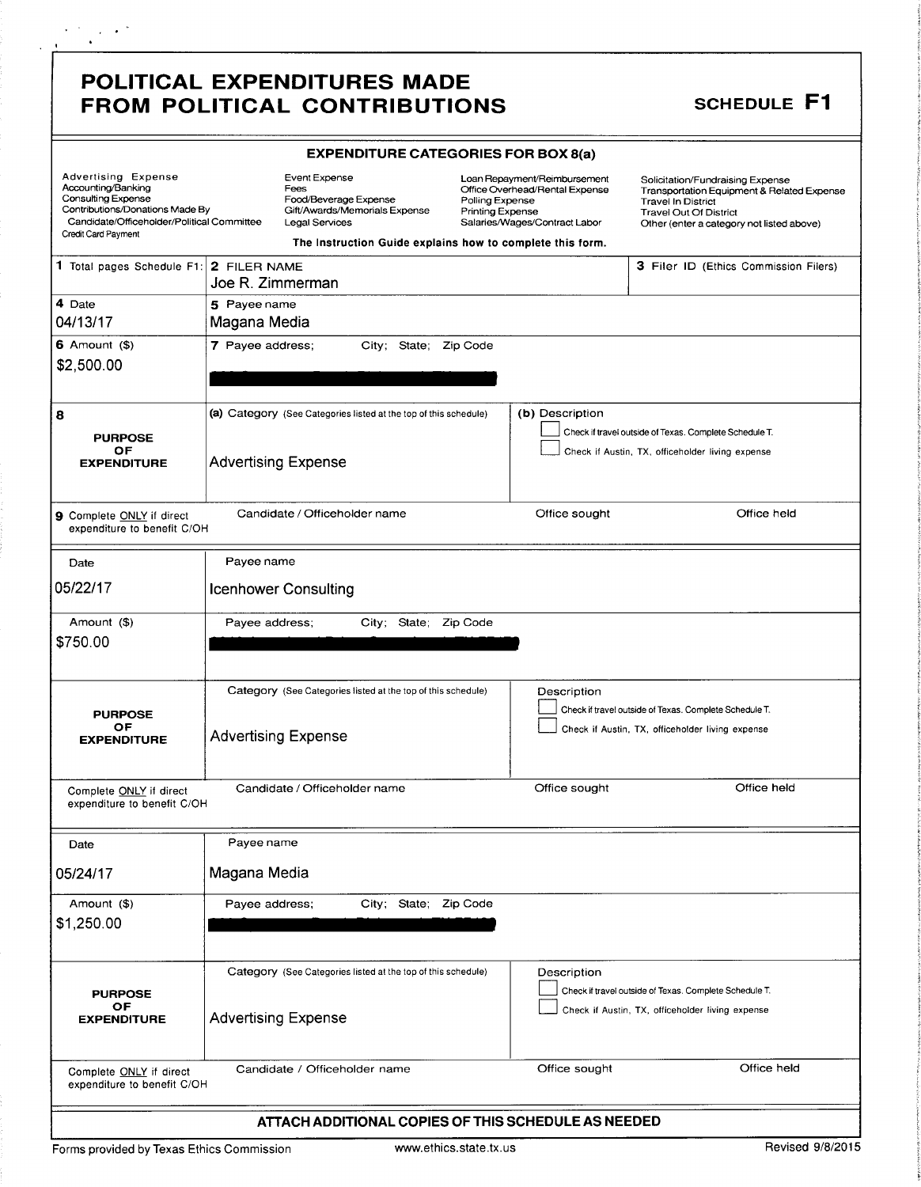$\sim$   $\sim$ 

 $\mathcal{L} \rightarrow \mathcal{L}$  $\ddot{\phantom{a}}$ 

| <b>EXPENDITURE CATEGORIES FOR BOX 8(a)</b> |  |  |
|--------------------------------------------|--|--|
|--------------------------------------------|--|--|

| <b>Advertising Expense</b><br>Accounting/Banking<br>Consulting Expense<br>Contributions/Donations Made By<br>Candidate/Officeholder/Political Committee<br>Credit Card Payment |                                  | Event Expense<br>Fees<br>Food/Beverage Expense<br>Gift/Awards/Memorials Expense<br><b>Legal Services</b><br>The Instruction Guide explains how to complete this form. | Polling Expense<br><b>Printing Expense</b> | Loan Repayment/Reimbursement<br>Office Overhead/Rental Expense<br>Salaries/Wages/Contract Labor | Solicitation/Fundraising Expense<br>Transportation Equipment & Related Expense<br><b>Travel In District</b><br><b>Travel Out Of District</b><br>Other (enter a category not listed above) |  |
|--------------------------------------------------------------------------------------------------------------------------------------------------------------------------------|----------------------------------|-----------------------------------------------------------------------------------------------------------------------------------------------------------------------|--------------------------------------------|-------------------------------------------------------------------------------------------------|-------------------------------------------------------------------------------------------------------------------------------------------------------------------------------------------|--|
| 1 Total pages Schedule F1:                                                                                                                                                     | 2 FILER NAME<br>Joe R. Zimmerman |                                                                                                                                                                       |                                            |                                                                                                 | 3 Filer ID (Ethics Commission Filers)                                                                                                                                                     |  |
| 4 Date<br>04/13/17                                                                                                                                                             | 5 Payee name<br>Magana Media     |                                                                                                                                                                       |                                            |                                                                                                 |                                                                                                                                                                                           |  |
| $6$ Amount $($)$<br>\$2,500.00                                                                                                                                                 | 7 Payee address:                 | City; State;                                                                                                                                                          | Zip Code                                   |                                                                                                 |                                                                                                                                                                                           |  |
| 8<br><b>PURPOSE</b><br>ОF<br><b>EXPENDITURE</b>                                                                                                                                |                                  | (a) Category (See Categories listed at the top of this schedule)<br><b>Advertising Expense</b>                                                                        |                                            | (b) Description                                                                                 | Check if travel outside of Texas. Complete Schedule T.<br>Check if Austin, TX, officeholder living expense                                                                                |  |
| 9 Complete ONLY if direct<br>expenditure to benefit C/OH                                                                                                                       |                                  | Candidate / Officeholder name                                                                                                                                         |                                            | Office sought                                                                                   | Office held                                                                                                                                                                               |  |
| Date                                                                                                                                                                           | Payee name                       |                                                                                                                                                                       |                                            |                                                                                                 |                                                                                                                                                                                           |  |
| 05/22/17                                                                                                                                                                       |                                  | <b>Icenhower Consulting</b>                                                                                                                                           |                                            |                                                                                                 |                                                                                                                                                                                           |  |
| Amount (\$)<br>\$750.00                                                                                                                                                        | Payee address;                   | City; State; Zip Code                                                                                                                                                 |                                            |                                                                                                 |                                                                                                                                                                                           |  |
| <b>PURPOSE</b><br>OF<br><b>EXPENDITURE</b>                                                                                                                                     |                                  | Category (See Categories listed at the top of this schedule)<br><b>Advertising Expense</b>                                                                            |                                            | Description                                                                                     | Check if travel outside of Texas. Complete Schedule T.<br>Check if Austin, TX, officeholder living expense                                                                                |  |
| Complete ONLY if direct<br>expenditure to benefit C/OH                                                                                                                         |                                  | Candidate / Officeholder name                                                                                                                                         |                                            | Office sought                                                                                   | Office held                                                                                                                                                                               |  |
| Date<br>05/24/17                                                                                                                                                               | Payee name<br>Magana Media       |                                                                                                                                                                       |                                            |                                                                                                 |                                                                                                                                                                                           |  |
| Amount (\$)<br>\$1,250.00                                                                                                                                                      | Payee address;                   | City: State:                                                                                                                                                          | Zip Code                                   |                                                                                                 |                                                                                                                                                                                           |  |
| <b>PURPOSE</b><br>ОF<br><b>EXPENDITURE</b>                                                                                                                                     |                                  | Category (See Categories listed at the top of this schedule)<br><b>Advertising Expense</b>                                                                            |                                            | Description                                                                                     | Check if travel outside of Texas. Complete Schedule T.<br>Check if Austin, TX, officeholder living expense                                                                                |  |
| Complete ONLY if direct<br>expenditure to benefit C/OH                                                                                                                         |                                  | Candidate / Officeholder name                                                                                                                                         |                                            | Office sought                                                                                   | Office held                                                                                                                                                                               |  |
|                                                                                                                                                                                |                                  | ATTACH ADDITIONAL COPIES OF THIS SCHEDULE AS NEEDED                                                                                                                   |                                            |                                                                                                 |                                                                                                                                                                                           |  |

Forms provided by Texas Ethics Commission www.ethics.state.tx.us Revised 9/8/2015